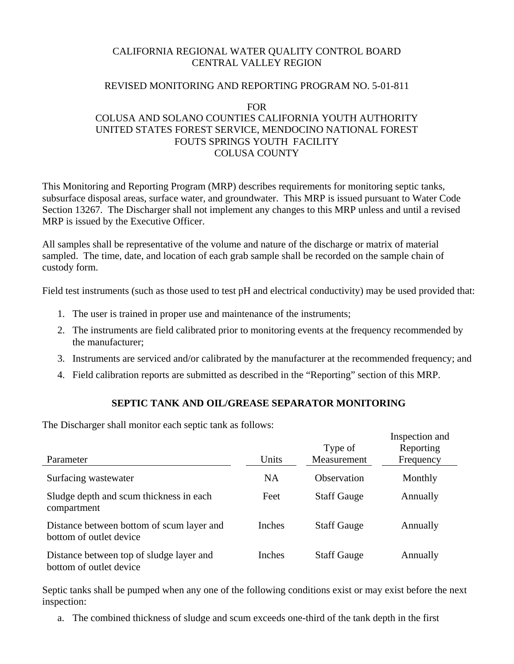## CALIFORNIA REGIONAL WATER QUALITY CONTROL BOARD CENTRAL VALLEY REGION

### REVISED MONITORING AND REPORTING PROGRAM NO. 5-01-811

#### FOR

# COLUSA AND SOLANO COUNTIES CALIFORNIA YOUTH AUTHORITY UNITED STATES FOREST SERVICE, MENDOCINO NATIONAL FOREST FOUTS SPRINGS YOUTH FACILITY COLUSA COUNTY

This Monitoring and Reporting Program (MRP) describes requirements for monitoring septic tanks, subsurface disposal areas, surface water, and groundwater. This MRP is issued pursuant to Water Code Section 13267. The Discharger shall not implement any changes to this MRP unless and until a revised MRP is issued by the Executive Officer.

All samples shall be representative of the volume and nature of the discharge or matrix of material sampled. The time, date, and location of each grab sample shall be recorded on the sample chain of custody form.

Field test instruments (such as those used to test pH and electrical conductivity) may be used provided that:

- 1. The user is trained in proper use and maintenance of the instruments;
- 2. The instruments are field calibrated prior to monitoring events at the frequency recommended by the manufacturer;
- 3. Instruments are serviced and/or calibrated by the manufacturer at the recommended frequency; and
- 4. Field calibration reports are submitted as described in the "Reporting" section of this MRP.

### **SEPTIC TANK AND OIL/GREASE SEPARATOR MONITORING**

Inspection and

The Discharger shall monitor each septic tank as follows:

|                                                                      |           |                        | mspection and          |
|----------------------------------------------------------------------|-----------|------------------------|------------------------|
| Parameter                                                            | Units     | Type of<br>Measurement | Reporting<br>Frequency |
| Surfacing wastewater                                                 | <b>NA</b> | Observation            | Monthly                |
| Sludge depth and scum thickness in each<br>compartment               | Feet      | <b>Staff Gauge</b>     | Annually               |
| Distance between bottom of scum layer and<br>bottom of outlet device | Inches    | <b>Staff Gauge</b>     | Annually               |
| Distance between top of sludge layer and<br>bottom of outlet device  | Inches    | <b>Staff Gauge</b>     | Annually               |

Septic tanks shall be pumped when any one of the following conditions exist or may exist before the next inspection:

a. The combined thickness of sludge and scum exceeds one-third of the tank depth in the first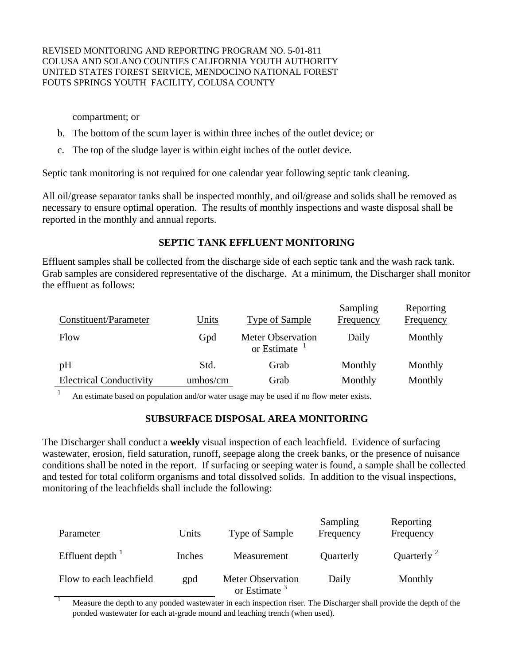compartment; or

- b. The bottom of the scum layer is within three inches of the outlet device; or
- c. The top of the sludge layer is within eight inches of the outlet device.

Septic tank monitoring is not required for one calendar year following septic tank cleaning.

All oil/grease separator tanks shall be inspected monthly, and oil/grease and solids shall be removed as necessary to ensure optimal operation. The results of monthly inspections and waste disposal shall be reported in the monthly and annual reports.

## **SEPTIC TANK EFFLUENT MONITORING**

Effluent samples shall be collected from the discharge side of each septic tank and the wash rack tank. Grab samples are considered representative of the discharge. At a minimum, the Discharger shall monitor the effluent as follows:

| Constituent/Parameter          | Units    | Type of Sample                              | Sampling<br>Frequency | Reporting<br>Frequency |
|--------------------------------|----------|---------------------------------------------|-----------------------|------------------------|
| Flow                           | Gpd      | <b>Meter Observation</b><br>or Estimate $1$ | Daily                 | Monthly                |
| pH                             | Std.     | Grab                                        | Monthly               | Monthly                |
| <b>Electrical Conductivity</b> | umhos/cm | Grab                                        | Monthly               | Monthly                |

An estimate based on population and/or water usage may be used if no flow meter exists.

### **SUBSURFACE DISPOSAL AREA MONITORING**

The Discharger shall conduct a **weekly** visual inspection of each leachfield. Evidence of surfacing wastewater, erosion, field saturation, runoff, seepage along the creek banks, or the presence of nuisance conditions shall be noted in the report. If surfacing or seeping water is found, a sample shall be collected and tested for total coliform organisms and total dissolved solids. In addition to the visual inspections, monitoring of the leachfields shall include the following:

| Parameter                    | Units  | <b>Type of Sample</b>                       | Sampling<br><b>Frequency</b> | Reporting<br><b>Frequency</b> |
|------------------------------|--------|---------------------------------------------|------------------------------|-------------------------------|
| Effluent depth $\frac{1}{1}$ | Inches | Measurement                                 | Quarterly                    | Quarterly <sup>2</sup>        |
| Flow to each leachfield      | gpd    | <b>Meter Observation</b><br>or Estimate $3$ | Daily                        | Monthly                       |

1 Measure the depth to any ponded wastewater in each inspection riser. The Discharger shall provide the depth of the ponded wastewater for each at-grade mound and leaching trench (when used).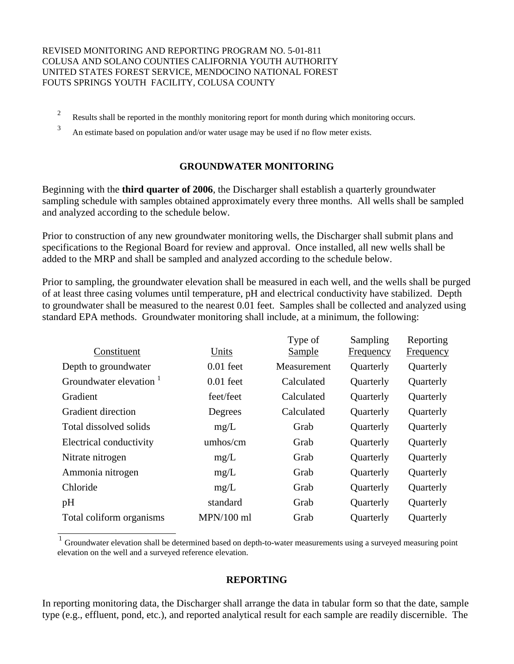- <sup>2</sup> Results shall be reported in the monthly monitoring report for month during which monitoring occurs.
- <sup>3</sup> An estimate based on population and/or water usage may be used if no flow meter exists.

## **GROUNDWATER MONITORING**

Beginning with the **third quarter of 2006**, the Discharger shall establish a quarterly groundwater sampling schedule with samples obtained approximately every three months. All wells shall be sampled and analyzed according to the schedule below.

Prior to construction of any new groundwater monitoring wells, the Discharger shall submit plans and specifications to the Regional Board for review and approval. Once installed, all new wells shall be added to the MRP and shall be sampled and analyzed according to the schedule below.

Prior to sampling, the groundwater elevation shall be measured in each well, and the wells shall be purged of at least three casing volumes until temperature, pH and electrical conductivity have stabilized. Depth to groundwater shall be measured to the nearest 0.01 feet. Samples shall be collected and analyzed using standard EPA methods. Groundwater monitoring shall include, at a minimum, the following:

|                                    |              | Type of     | Sampling  | Reporting        |
|------------------------------------|--------------|-------------|-----------|------------------|
| Constituent                        | Units        | Sample      | Frequency | <b>Frequency</b> |
| Depth to groundwater               | $0.01$ feet  | Measurement | Quarterly | Quarterly        |
| Groundwater elevation <sup>1</sup> | $0.01$ feet  | Calculated  | Quarterly | Quarterly        |
| Gradient                           | feet/feet    | Calculated  | Quarterly | Quarterly        |
| <b>Gradient direction</b>          | Degrees      | Calculated  | Quarterly | Quarterly        |
| Total dissolved solids             | mg/L         | Grab        | Quarterly | Quarterly        |
| Electrical conductivity            | umhos/cm     | Grab        | Quarterly | Quarterly        |
| Nitrate nitrogen                   | mg/L         | Grab        | Quarterly | Quarterly        |
| Ammonia nitrogen                   | mg/L         | Grab        | Quarterly | Quarterly        |
| Chloride                           | mg/L         | Grab        | Quarterly | Quarterly        |
| pH                                 | standard     | Grab        | Quarterly | Quarterly        |
| Total coliform organisms           | $MPN/100$ ml | Grab        | Quarterly | Quarterly        |
|                                    |              |             |           |                  |

<sup>1</sup> Groundwater elevation shall be determined based on depth-to-water measurements using a surveyed measuring point elevation on the well and a surveyed reference elevation.

### **REPORTING**

In reporting monitoring data, the Discharger shall arrange the data in tabular form so that the date, sample type (e.g., effluent, pond, etc.), and reported analytical result for each sample are readily discernible. The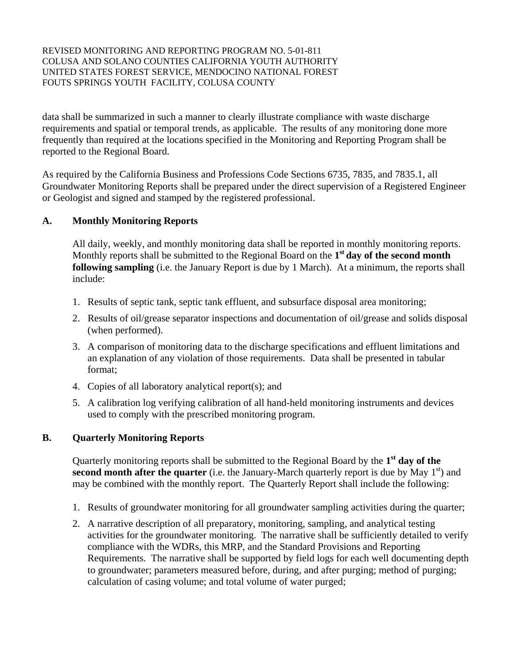data shall be summarized in such a manner to clearly illustrate compliance with waste discharge requirements and spatial or temporal trends, as applicable. The results of any monitoring done more frequently than required at the locations specified in the Monitoring and Reporting Program shall be reported to the Regional Board.

As required by the California Business and Professions Code Sections 6735, 7835, and 7835.1, all Groundwater Monitoring Reports shall be prepared under the direct supervision of a Registered Engineer or Geologist and signed and stamped by the registered professional.

## **A. Monthly Monitoring Reports**

All daily, weekly, and monthly monitoring data shall be reported in monthly monitoring reports. Monthly reports shall be submitted to the Regional Board on the **1st day of the second month following sampling** (i.e. the January Report is due by 1 March). At a minimum, the reports shall include:

- 1. Results of septic tank, septic tank effluent, and subsurface disposal area monitoring;
- 2. Results of oil/grease separator inspections and documentation of oil/grease and solids disposal (when performed).
- 3. A comparison of monitoring data to the discharge specifications and effluent limitations and an explanation of any violation of those requirements. Data shall be presented in tabular format;
- 4. Copies of all laboratory analytical report(s); and
- 5. A calibration log verifying calibration of all hand-held monitoring instruments and devices used to comply with the prescribed monitoring program.

## **B. Quarterly Monitoring Reports**

Quarterly monitoring reports shall be submitted to the Regional Board by the **1st day of the second month after the quarter** (i.e. the January-March quarterly report is due by May  $1<sup>st</sup>$ ) and may be combined with the monthly report. The Quarterly Report shall include the following:

- 1. Results of groundwater monitoring for all groundwater sampling activities during the quarter;
- 2. A narrative description of all preparatory, monitoring, sampling, and analytical testing activities for the groundwater monitoring. The narrative shall be sufficiently detailed to verify compliance with the WDRs, this MRP, and the Standard Provisions and Reporting Requirements. The narrative shall be supported by field logs for each well documenting depth to groundwater; parameters measured before, during, and after purging; method of purging; calculation of casing volume; and total volume of water purged;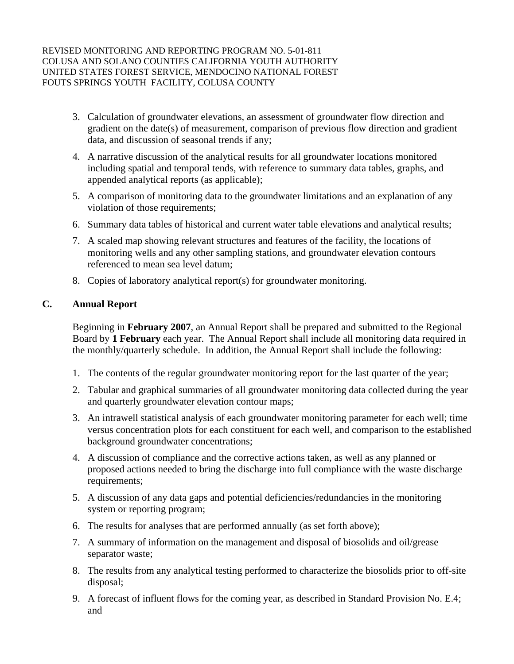- 3. Calculation of groundwater elevations, an assessment of groundwater flow direction and gradient on the date(s) of measurement, comparison of previous flow direction and gradient data, and discussion of seasonal trends if any;
- 4. A narrative discussion of the analytical results for all groundwater locations monitored including spatial and temporal tends, with reference to summary data tables, graphs, and appended analytical reports (as applicable);
- 5. A comparison of monitoring data to the groundwater limitations and an explanation of any violation of those requirements;
- 6. Summary data tables of historical and current water table elevations and analytical results;
- 7. A scaled map showing relevant structures and features of the facility, the locations of monitoring wells and any other sampling stations, and groundwater elevation contours referenced to mean sea level datum;
- 8. Copies of laboratory analytical report(s) for groundwater monitoring.

## **C. Annual Report**

Beginning in **February 2007**, an Annual Report shall be prepared and submitted to the Regional Board by **1 February** each year. The Annual Report shall include all monitoring data required in the monthly/quarterly schedule. In addition, the Annual Report shall include the following:

- 1. The contents of the regular groundwater monitoring report for the last quarter of the year;
- 2. Tabular and graphical summaries of all groundwater monitoring data collected during the year and quarterly groundwater elevation contour maps;
- 3. An intrawell statistical analysis of each groundwater monitoring parameter for each well; time versus concentration plots for each constituent for each well, and comparison to the established background groundwater concentrations;
- 4. A discussion of compliance and the corrective actions taken, as well as any planned or proposed actions needed to bring the discharge into full compliance with the waste discharge requirements;
- 5. A discussion of any data gaps and potential deficiencies/redundancies in the monitoring system or reporting program;
- 6. The results for analyses that are performed annually (as set forth above);
- 7. A summary of information on the management and disposal of biosolids and oil/grease separator waste;
- 8. The results from any analytical testing performed to characterize the biosolids prior to off-site disposal;
- 9. A forecast of influent flows for the coming year, as described in Standard Provision No. E.4; and